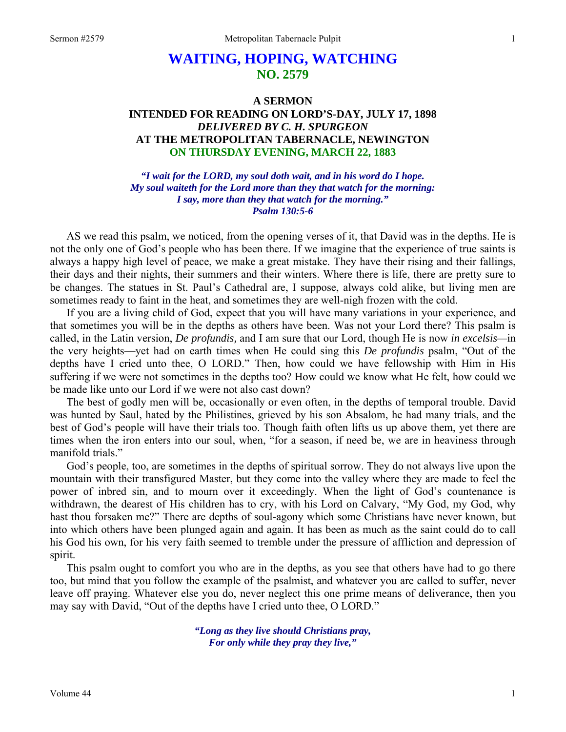# **WAITING, HOPING, WATCHING NO. 2579**

# **A SERMON INTENDED FOR READING ON LORD'S-DAY, JULY 17, 1898**  *DELIVERED BY C. H. SPURGEON*  **AT THE METROPOLITAN TABERNACLE, NEWINGTON ON THURSDAY EVENING, MARCH 22, 1883**

*"I wait for the LORD, my soul doth wait, and in his word do I hope. My soul waiteth for the Lord more than they that watch for the morning: I say, more than they that watch for the morning." Psalm 130:5-6* 

AS we read this psalm, we noticed, from the opening verses of it, that David was in the depths. He is not the only one of God's people who has been there. If we imagine that the experience of true saints is always a happy high level of peace, we make a great mistake. They have their rising and their fallings, their days and their nights, their summers and their winters. Where there is life, there are pretty sure to be changes. The statues in St. Paul's Cathedral are, I suppose, always cold alike, but living men are sometimes ready to faint in the heat, and sometimes they are well-nigh frozen with the cold.

If you are a living child of God, expect that you will have many variations in your experience, and that sometimes you will be in the depths as others have been. Was not your Lord there? This psalm is called, in the Latin version, *De profundis,* and I am sure that our Lord, though He is now *in excelsis—*in the very heights—yet had on earth times when He could sing this *De profundis* psalm, "Out of the depths have I cried unto thee, O LORD." Then, how could we have fellowship with Him in His suffering if we were not sometimes in the depths too? How could we know what He felt, how could we be made like unto our Lord if we were not also cast down?

The best of godly men will be, occasionally or even often, in the depths of temporal trouble. David was hunted by Saul, hated by the Philistines, grieved by his son Absalom, he had many trials, and the best of God's people will have their trials too. Though faith often lifts us up above them, yet there are times when the iron enters into our soul, when, "for a season, if need be, we are in heaviness through manifold trials."

God's people, too, are sometimes in the depths of spiritual sorrow. They do not always live upon the mountain with their transfigured Master, but they come into the valley where they are made to feel the power of inbred sin, and to mourn over it exceedingly. When the light of God's countenance is withdrawn, the dearest of His children has to cry, with his Lord on Calvary, "My God, my God, why hast thou forsaken me?" There are depths of soul-agony which some Christians have never known, but into which others have been plunged again and again. It has been as much as the saint could do to call his God his own, for his very faith seemed to tremble under the pressure of affliction and depression of spirit.

This psalm ought to comfort you who are in the depths, as you see that others have had to go there too, but mind that you follow the example of the psalmist, and whatever you are called to suffer, never leave off praying. Whatever else you do, never neglect this one prime means of deliverance, then you may say with David, "Out of the depths have I cried unto thee, O LORD."

> *"Long as they live should Christians pray, For only while they pray they live,"*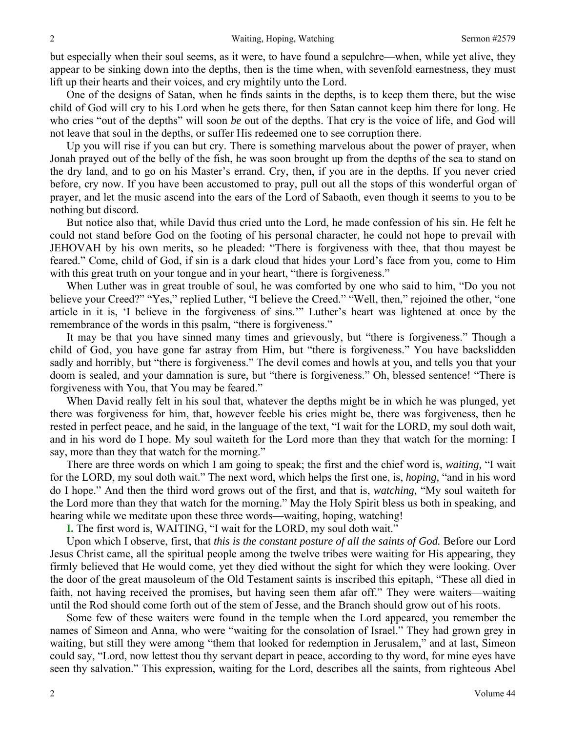but especially when their soul seems, as it were, to have found a sepulchre—when, while yet alive, they appear to be sinking down into the depths, then is the time when, with sevenfold earnestness, they must lift up their hearts and their voices, and cry mightily unto the Lord.

One of the designs of Satan, when he finds saints in the depths, is to keep them there, but the wise child of God will cry to his Lord when he gets there, for then Satan cannot keep him there for long. He who cries "out of the depths" will soon *be* out of the depths. That cry is the voice of life, and God will not leave that soul in the depths, or suffer His redeemed one to see corruption there.

Up you will rise if you can but cry. There is something marvelous about the power of prayer, when Jonah prayed out of the belly of the fish, he was soon brought up from the depths of the sea to stand on the dry land, and to go on his Master's errand. Cry, then, if you are in the depths. If you never cried before, cry now. If you have been accustomed to pray, pull out all the stops of this wonderful organ of prayer, and let the music ascend into the ears of the Lord of Sabaoth, even though it seems to you to be nothing but discord.

But notice also that, while David thus cried unto the Lord, he made confession of his sin. He felt he could not stand before God on the footing of his personal character, he could not hope to prevail with JEHOVAH by his own merits, so he pleaded: "There is forgiveness with thee, that thou mayest be feared." Come, child of God, if sin is a dark cloud that hides your Lord's face from you, come to Him with this great truth on your tongue and in your heart, "there is forgiveness."

When Luther was in great trouble of soul, he was comforted by one who said to him, "Do you not believe your Creed?" "Yes," replied Luther, "I believe the Creed." "Well, then," rejoined the other, "one article in it is, 'I believe in the forgiveness of sins.'" Luther's heart was lightened at once by the remembrance of the words in this psalm, "there is forgiveness."

It may be that you have sinned many times and grievously, but "there is forgiveness." Though a child of God, you have gone far astray from Him, but "there is forgiveness." You have backslidden sadly and horribly, but "there is forgiveness." The devil comes and howls at you, and tells you that your doom is sealed, and your damnation is sure, but "there is forgiveness." Oh, blessed sentence! "There is forgiveness with You, that You may be feared."

When David really felt in his soul that, whatever the depths might be in which he was plunged, yet there was forgiveness for him, that, however feeble his cries might be, there was forgiveness, then he rested in perfect peace, and he said, in the language of the text, "I wait for the LORD, my soul doth wait, and in his word do I hope. My soul waiteth for the Lord more than they that watch for the morning: I say, more than they that watch for the morning."

There are three words on which I am going to speak; the first and the chief word is, *waiting,* "I wait for the LORD, my soul doth wait." The next word, which helps the first one, is, *hoping,* "and in his word do I hope." And then the third word grows out of the first, and that is, *watching,* "My soul waiteth for the Lord more than they that watch for the morning." May the Holy Spirit bless us both in speaking, and hearing while we meditate upon these three words—waiting, hoping, watching!

**I.** The first word is, WAITING, "I wait for the LORD, my soul doth wait."

Upon which I observe, first, that *this is the constant posture of all the saints of God.* Before our Lord Jesus Christ came, all the spiritual people among the twelve tribes were waiting for His appearing, they firmly believed that He would come, yet they died without the sight for which they were looking. Over the door of the great mausoleum of the Old Testament saints is inscribed this epitaph, "These all died in faith, not having received the promises, but having seen them afar off." They were waiters—waiting until the Rod should come forth out of the stem of Jesse, and the Branch should grow out of his roots.

Some few of these waiters were found in the temple when the Lord appeared, you remember the names of Simeon and Anna, who were "waiting for the consolation of Israel." They had grown grey in waiting, but still they were among "them that looked for redemption in Jerusalem," and at last, Simeon could say, "Lord, now lettest thou thy servant depart in peace, according to thy word, for mine eyes have seen thy salvation." This expression, waiting for the Lord, describes all the saints, from righteous Abel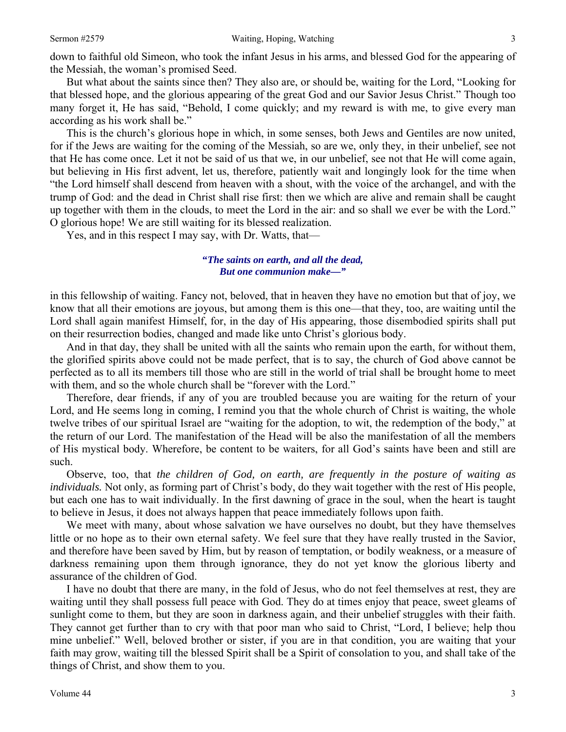down to faithful old Simeon, who took the infant Jesus in his arms, and blessed God for the appearing of the Messiah, the woman's promised Seed.

But what about the saints since then? They also are, or should be, waiting for the Lord, "Looking for that blessed hope, and the glorious appearing of the great God and our Savior Jesus Christ." Though too many forget it, He has said, "Behold, I come quickly; and my reward is with me, to give every man according as his work shall be."

This is the church's glorious hope in which, in some senses, both Jews and Gentiles are now united, for if the Jews are waiting for the coming of the Messiah, so are we, only they, in their unbelief, see not that He has come once. Let it not be said of us that we, in our unbelief, see not that He will come again, but believing in His first advent, let us, therefore, patiently wait and longingly look for the time when "the Lord himself shall descend from heaven with a shout, with the voice of the archangel, and with the trump of God: and the dead in Christ shall rise first: then we which are alive and remain shall be caught up together with them in the clouds, to meet the Lord in the air: and so shall we ever be with the Lord." O glorious hope! We are still waiting for its blessed realization.

Yes, and in this respect I may say, with Dr. Watts, that—

# **"***The saints on earth, and all the dead, But one communion make—"*

in this fellowship of waiting. Fancy not, beloved, that in heaven they have no emotion but that of joy, we know that all their emotions are joyous, but among them is this one—that they, too, are waiting until the Lord shall again manifest Himself, for, in the day of His appearing, those disembodied spirits shall put on their resurrection bodies, changed and made like unto Christ's glorious body.

And in that day, they shall be united with all the saints who remain upon the earth, for without them, the glorified spirits above could not be made perfect, that is to say, the church of God above cannot be perfected as to all its members till those who are still in the world of trial shall be brought home to meet with them, and so the whole church shall be "forever with the Lord."

Therefore, dear friends, if any of you are troubled because you are waiting for the return of your Lord, and He seems long in coming, I remind you that the whole church of Christ is waiting, the whole twelve tribes of our spiritual Israel are "waiting for the adoption, to wit, the redemption of the body," at the return of our Lord. The manifestation of the Head will be also the manifestation of all the members of His mystical body. Wherefore, be content to be waiters, for all God's saints have been and still are such.

Observe, too, that *the children of God, on earth, are frequently in the posture of waiting as individuals.* Not only, as forming part of Christ's body, do they wait together with the rest of His people, but each one has to wait individually. In the first dawning of grace in the soul, when the heart is taught to believe in Jesus, it does not always happen that peace immediately follows upon faith.

We meet with many, about whose salvation we have ourselves no doubt, but they have themselves little or no hope as to their own eternal safety. We feel sure that they have really trusted in the Savior, and therefore have been saved by Him, but by reason of temptation, or bodily weakness, or a measure of darkness remaining upon them through ignorance, they do not yet know the glorious liberty and assurance of the children of God.

I have no doubt that there are many, in the fold of Jesus, who do not feel themselves at rest, they are waiting until they shall possess full peace with God. They do at times enjoy that peace, sweet gleams of sunlight come to them, but they are soon in darkness again, and their unbelief struggles with their faith. They cannot get further than to cry with that poor man who said to Christ, "Lord, I believe; help thou mine unbelief." Well, beloved brother or sister, if you are in that condition, you are waiting that your faith may grow, waiting till the blessed Spirit shall be a Spirit of consolation to you, and shall take of the things of Christ, and show them to you.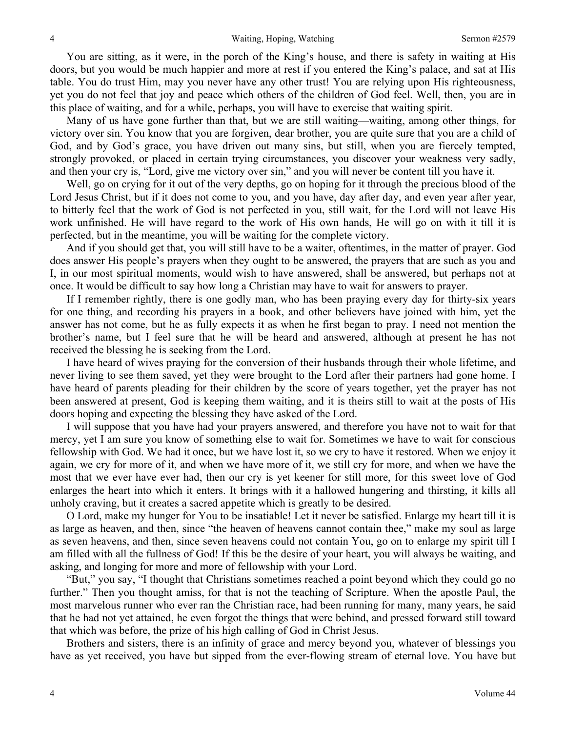You are sitting, as it were, in the porch of the King's house, and there is safety in waiting at His doors, but you would be much happier and more at rest if you entered the King's palace, and sat at His table. You do trust Him, may you never have any other trust! You are relying upon His righteousness, yet you do not feel that joy and peace which others of the children of God feel. Well, then, you are in this place of waiting, and for a while, perhaps, you will have to exercise that waiting spirit.

Many of us have gone further than that, but we are still waiting—waiting, among other things, for victory over sin. You know that you are forgiven, dear brother, you are quite sure that you are a child of God, and by God's grace, you have driven out many sins, but still, when you are fiercely tempted, strongly provoked, or placed in certain trying circumstances, you discover your weakness very sadly, and then your cry is, "Lord, give me victory over sin," and you will never be content till you have it.

Well, go on crying for it out of the very depths, go on hoping for it through the precious blood of the Lord Jesus Christ, but if it does not come to you, and you have, day after day, and even year after year, to bitterly feel that the work of God is not perfected in you, still wait, for the Lord will not leave His work unfinished. He will have regard to the work of His own hands, He will go on with it till it is perfected, but in the meantime, you will be waiting for the complete victory.

And if you should get that, you will still have to be a waiter, oftentimes, in the matter of prayer. God does answer His people's prayers when they ought to be answered, the prayers that are such as you and I, in our most spiritual moments, would wish to have answered, shall be answered, but perhaps not at once. It would be difficult to say how long a Christian may have to wait for answers to prayer.

If I remember rightly, there is one godly man, who has been praying every day for thirty-six years for one thing, and recording his prayers in a book, and other believers have joined with him, yet the answer has not come, but he as fully expects it as when he first began to pray. I need not mention the brother's name, but I feel sure that he will be heard and answered, although at present he has not received the blessing he is seeking from the Lord.

I have heard of wives praying for the conversion of their husbands through their whole lifetime, and never living to see them saved, yet they were brought to the Lord after their partners had gone home. I have heard of parents pleading for their children by the score of years together, yet the prayer has not been answered at present, God is keeping them waiting, and it is theirs still to wait at the posts of His doors hoping and expecting the blessing they have asked of the Lord.

I will suppose that you have had your prayers answered, and therefore you have not to wait for that mercy, yet I am sure you know of something else to wait for. Sometimes we have to wait for conscious fellowship with God. We had it once, but we have lost it, so we cry to have it restored. When we enjoy it again, we cry for more of it, and when we have more of it, we still cry for more, and when we have the most that we ever have ever had, then our cry is yet keener for still more, for this sweet love of God enlarges the heart into which it enters. It brings with it a hallowed hungering and thirsting, it kills all unholy craving, but it creates a sacred appetite which is greatly to be desired.

O Lord, make my hunger for You to be insatiable! Let it never be satisfied. Enlarge my heart till it is as large as heaven, and then, since "the heaven of heavens cannot contain thee," make my soul as large as seven heavens, and then, since seven heavens could not contain You, go on to enlarge my spirit till I am filled with all the fullness of God! If this be the desire of your heart, you will always be waiting, and asking, and longing for more and more of fellowship with your Lord.

"But," you say, "I thought that Christians sometimes reached a point beyond which they could go no further." Then you thought amiss, for that is not the teaching of Scripture. When the apostle Paul, the most marvelous runner who ever ran the Christian race, had been running for many, many years, he said that he had not yet attained, he even forgot the things that were behind, and pressed forward still toward that which was before, the prize of his high calling of God in Christ Jesus.

Brothers and sisters, there is an infinity of grace and mercy beyond you, whatever of blessings you have as yet received, you have but sipped from the ever-flowing stream of eternal love. You have but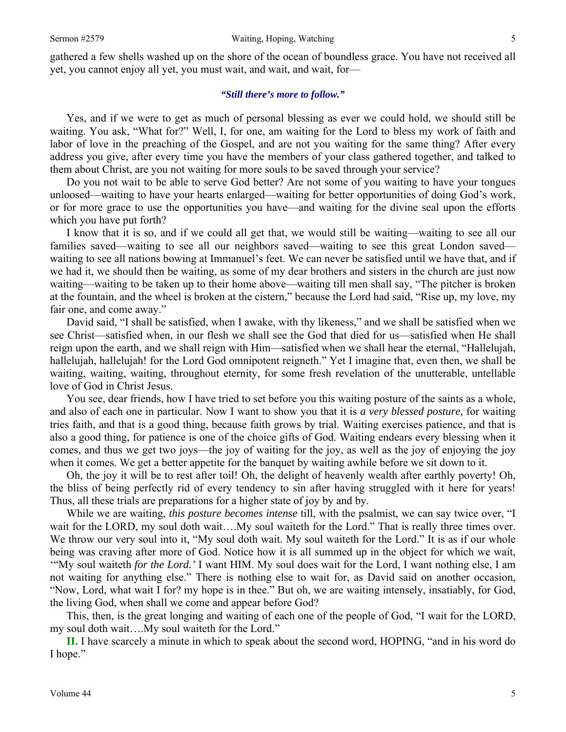gathered a few shells washed up on the shore of the ocean of boundless grace. You have not received all yet, you cannot enjoy all yet, you must wait, and wait, and wait, for—

#### *"Still there's more to follow."*

Yes, and if we were to get as much of personal blessing as ever we could hold, we should still be waiting. You ask, "What for?" Well, I, for one, am waiting for the Lord to bless my work of faith and labor of love in the preaching of the Gospel, and are not you waiting for the same thing? After every address you give, after every time you have the members of your class gathered together, and talked to them about Christ, are you not waiting for more souls to be saved through your service?

Do you not wait to be able to serve God better? Are not some of you waiting to have your tongues unloosed—waiting to have your hearts enlarged—waiting for better opportunities of doing God's work, or for more grace to use the opportunities you have—and waiting for the divine seal upon the efforts which you have put forth?

I know that it is so, and if we could all get that, we would still be waiting—waiting to see all our families saved—waiting to see all our neighbors saved—waiting to see this great London saved waiting to see all nations bowing at Immanuel's feet. We can never be satisfied until we have that, and if we had it, we should then be waiting, as some of my dear brothers and sisters in the church are just now waiting—waiting to be taken up to their home above—waiting till men shall say, "The pitcher is broken at the fountain, and the wheel is broken at the cistern," because the Lord had said, "Rise up, my love, my fair one, and come away."

David said, "I shall be satisfied, when I awake, with thy likeness," and we shall be satisfied when we see Christ—satisfied when, in our flesh we shall see the God that died for us—satisfied when He shall reign upon the earth, and we shall reign with Him—satisfied when we shall hear the eternal, "Hallelujah, hallelujah, hallelujah! for the Lord God omnipotent reigneth." Yet I imagine that, even then, we shall be waiting, waiting, waiting, throughout eternity, for some fresh revelation of the unutterable, untellable love of God in Christ Jesus.

You see, dear friends, how I have tried to set before you this waiting posture of the saints as a whole, and also of each one in particular. Now I want to show you that it is *a very blessed posture,* for waiting tries faith, and that is a good thing, because faith grows by trial. Waiting exercises patience, and that is also a good thing, for patience is one of the choice gifts of God. Waiting endears every blessing when it comes, and thus we get two joys—the joy of waiting for the joy, as well as the joy of enjoying the joy when it comes. We get a better appetite for the banquet by waiting awhile before we sit down to it.

Oh, the joy it will be to rest after toil! Oh, the delight of heavenly wealth after earthly poverty! Oh, the bliss of being perfectly rid of every tendency to sin after having struggled with it here for years! Thus, all these trials are preparations for a higher state of joy by and by.

While we are waiting, *this posture becomes intense* till, with the psalmist, we can say twice over, "I wait for the LORD, my soul doth wait....My soul waiteth for the Lord." That is really three times over. We throw our very soul into it, "My soul doth wait. My soul waiteth for the Lord." It is as if our whole being was craving after more of God. Notice how it is all summed up in the object for which we wait, '"My soul waiteth *for the Lord.'* I want HIM. My soul does wait for the Lord, I want nothing else, I am not waiting for anything else." There is nothing else to wait for, as David said on another occasion, "Now, Lord, what wait I for? my hope is in thee." But oh, we are waiting intensely, insatiably, for God, the living God, when shall we come and appear before God?

This, then, is the great longing and waiting of each one of the people of God, "I wait for the LORD, my soul doth wait….My soul waiteth for the Lord."

**II.** I have scarcely a minute in which to speak about the second word, HOPING, "and in his word do I hope."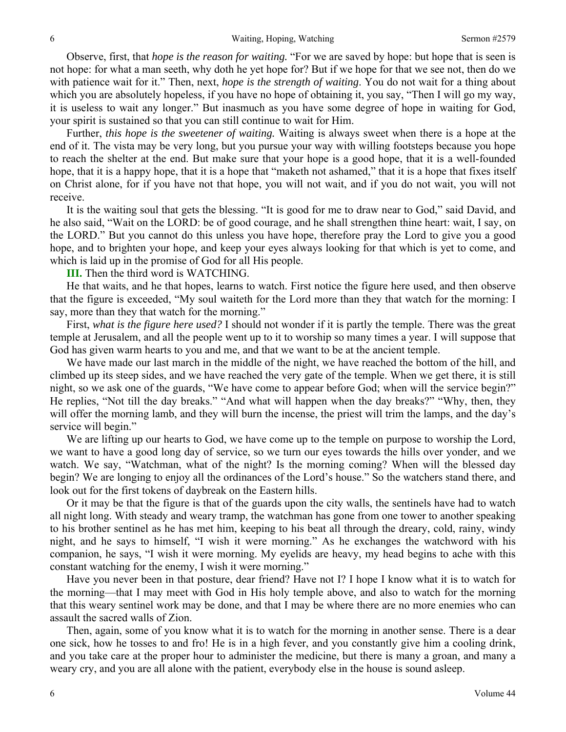Observe, first, that *hope is the reason for waiting.* "For we are saved by hope: but hope that is seen is not hope: for what a man seeth, why doth he yet hope for? But if we hope for that we see not, then do we with patience wait for it." Then, next, *hope is the strength of waiting*. You do not wait for a thing about which you are absolutely hopeless, if you have no hope of obtaining it, you say, "Then I will go my way, it is useless to wait any longer." But inasmuch as you have some degree of hope in waiting for God, your spirit is sustained so that you can still continue to wait for Him.

Further, *this hope is the sweetener of waiting.* Waiting is always sweet when there is a hope at the end of it. The vista may be very long, but you pursue your way with willing footsteps because you hope to reach the shelter at the end. But make sure that your hope is a good hope, that it is a well-founded hope, that it is a happy hope, that it is a hope that "maketh not ashamed," that it is a hope that fixes itself on Christ alone, for if you have not that hope, you will not wait, and if you do not wait, you will not receive.

It is the waiting soul that gets the blessing. "It is good for me to draw near to God," said David, and he also said, "Wait on the LORD: be of good courage, and he shall strengthen thine heart: wait, I say, on the LORD." But you cannot do this unless you have hope, therefore pray the Lord to give you a good hope, and to brighten your hope, and keep your eyes always looking for that which is yet to come, and which is laid up in the promise of God for all His people.

#### **III.** Then the third word is WATCHING.

He that waits, and he that hopes, learns to watch. First notice the figure here used, and then observe that the figure is exceeded, "My soul waiteth for the Lord more than they that watch for the morning: I say, more than they that watch for the morning."

First, *what is the figure here used?* I should not wonder if it is partly the temple. There was the great temple at Jerusalem, and all the people went up to it to worship so many times a year. I will suppose that God has given warm hearts to you and me, and that we want to be at the ancient temple.

We have made our last march in the middle of the night, we have reached the bottom of the hill, and climbed up its steep sides, and we have reached the very gate of the temple. When we get there, it is still night, so we ask one of the guards, "We have come to appear before God; when will the service begin?" He replies, "Not till the day breaks." "And what will happen when the day breaks?" "Why, then, they will offer the morning lamb, and they will burn the incense, the priest will trim the lamps, and the day's service will begin."

We are lifting up our hearts to God, we have come up to the temple on purpose to worship the Lord, we want to have a good long day of service, so we turn our eyes towards the hills over yonder, and we watch. We say, "Watchman, what of the night? Is the morning coming? When will the blessed day begin? We are longing to enjoy all the ordinances of the Lord's house." So the watchers stand there, and look out for the first tokens of daybreak on the Eastern hills.

Or it may be that the figure is that of the guards upon the city walls, the sentinels have had to watch all night long. With steady and weary tramp, the watchman has gone from one tower to another speaking to his brother sentinel as he has met him, keeping to his beat all through the dreary, cold, rainy, windy night, and he says to himself, "I wish it were morning." As he exchanges the watchword with his companion, he says, "I wish it were morning. My eyelids are heavy, my head begins to ache with this constant watching for the enemy, I wish it were morning."

Have you never been in that posture, dear friend? Have not I? I hope I know what it is to watch for the morning—that I may meet with God in His holy temple above, and also to watch for the morning that this weary sentinel work may be done, and that I may be where there are no more enemies who can assault the sacred walls of Zion.

Then, again, some of you know what it is to watch for the morning in another sense. There is a dear one sick, how he tosses to and fro! He is in a high fever, and you constantly give him a cooling drink, and you take care at the proper hour to administer the medicine, but there is many a groan, and many a weary cry, and you are all alone with the patient, everybody else in the house is sound asleep.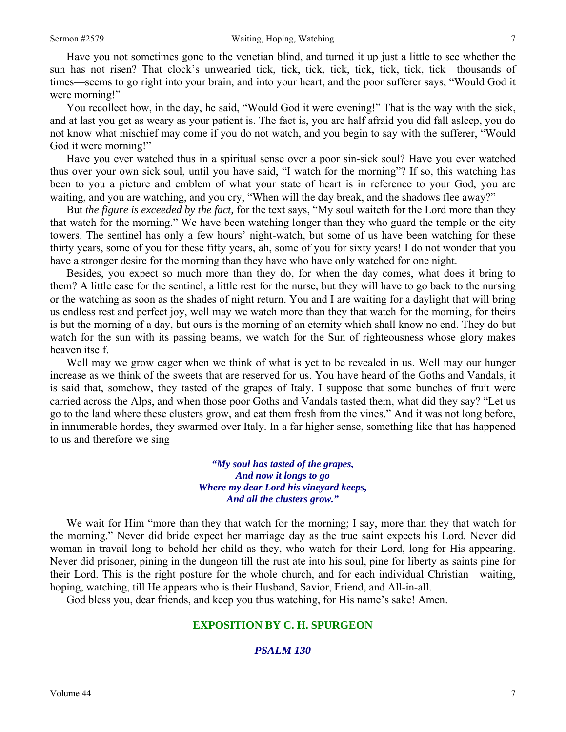Have you not sometimes gone to the venetian blind, and turned it up just a little to see whether the sun has not risen? That clock's unwearied tick, tick, tick, tick, tick, tick, tick, tick—thousands of times—seems to go right into your brain, and into your heart, and the poor sufferer says, "Would God it were morning!"

You recollect how, in the day, he said, "Would God it were evening!" That is the way with the sick, and at last you get as weary as your patient is. The fact is, you are half afraid you did fall asleep, you do not know what mischief may come if you do not watch, and you begin to say with the sufferer, "Would God it were morning!"

Have you ever watched thus in a spiritual sense over a poor sin-sick soul? Have you ever watched thus over your own sick soul, until you have said, "I watch for the morning"? If so, this watching has been to you a picture and emblem of what your state of heart is in reference to your God, you are waiting, and you are watching, and you cry, "When will the day break, and the shadows flee away?"

But *the figure is exceeded by the fact,* for the text says, "My soul waiteth for the Lord more than they that watch for the morning." We have been watching longer than they who guard the temple or the city towers. The sentinel has only a few hours' night-watch, but some of us have been watching for these thirty years, some of you for these fifty years, ah, some of you for sixty years! I do not wonder that you have a stronger desire for the morning than they have who have only watched for one night.

Besides, you expect so much more than they do, for when the day comes, what does it bring to them? A little ease for the sentinel, a little rest for the nurse, but they will have to go back to the nursing or the watching as soon as the shades of night return. You and I are waiting for a daylight that will bring us endless rest and perfect joy, well may we watch more than they that watch for the morning, for theirs is but the morning of a day, but ours is the morning of an eternity which shall know no end. They do but watch for the sun with its passing beams, we watch for the Sun of righteousness whose glory makes heaven itself.

Well may we grow eager when we think of what is yet to be revealed in us. Well may our hunger increase as we think of the sweets that are reserved for us. You have heard of the Goths and Vandals, it is said that, somehow, they tasted of the grapes of Italy. I suppose that some bunches of fruit were carried across the Alps, and when those poor Goths and Vandals tasted them, what did they say? "Let us go to the land where these clusters grow, and eat them fresh from the vines." And it was not long before, in innumerable hordes, they swarmed over Italy. In a far higher sense, something like that has happened to us and therefore we sing—

> *"My soul has tasted of the grapes, And now it longs to go Where my dear Lord his vineyard keeps, And all the clusters grow."*

We wait for Him "more than they that watch for the morning; I say, more than they that watch for the morning." Never did bride expect her marriage day as the true saint expects his Lord. Never did woman in travail long to behold her child as they, who watch for their Lord, long for His appearing. Never did prisoner, pining in the dungeon till the rust ate into his soul, pine for liberty as saints pine for their Lord. This is the right posture for the whole church, and for each individual Christian—waiting, hoping, watching, till He appears who is their Husband, Savior, Friend, and All-in-all.

God bless you, dear friends, and keep you thus watching, for His name's sake! Amen.

## **EXPOSITION BY C. H. SPURGEON**

## *PSALM 130*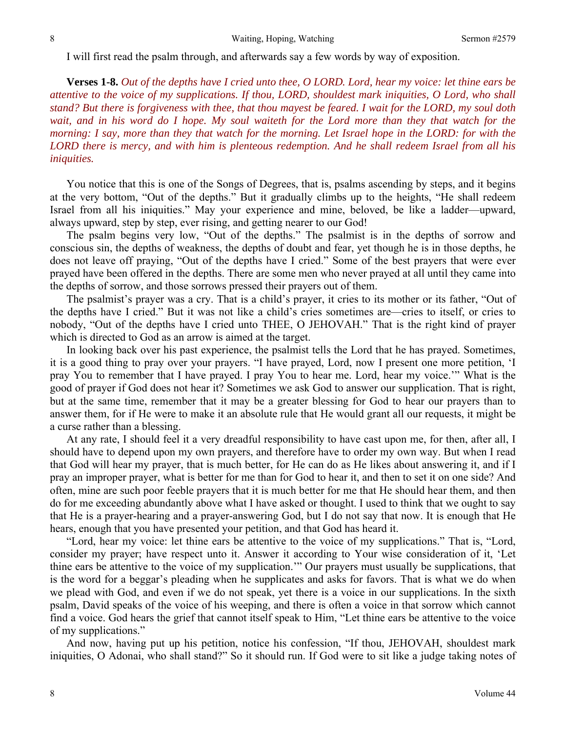I will first read the psalm through, and afterwards say a few words by way of exposition.

**Verses 1-8.** *Out of the depths have I cried unto thee, O LORD. Lord, hear my voice: let thine ears be attentive to the voice of my supplications. If thou, LORD, shouldest mark iniquities, O Lord, who shall stand? But there is forgiveness with thee, that thou mayest be feared. I wait for the LORD, my soul doth*  wait, and in his word do I hope. My soul waiteth for the Lord more than they that watch for the *morning: I say, more than they that watch for the morning. Let Israel hope in the LORD: for with the LORD there is mercy, and with him is plenteous redemption. And he shall redeem Israel from all his iniquities.* 

You notice that this is one of the Songs of Degrees, that is, psalms ascending by steps, and it begins at the very bottom, "Out of the depths." But it gradually climbs up to the heights, "He shall redeem Israel from all his iniquities." May your experience and mine, beloved, be like a ladder—upward, always upward, step by step, ever rising, and getting nearer to our God!

The psalm begins very low, "Out of the depths." The psalmist is in the depths of sorrow and conscious sin, the depths of weakness, the depths of doubt and fear, yet though he is in those depths, he does not leave off praying, "Out of the depths have I cried." Some of the best prayers that were ever prayed have been offered in the depths. There are some men who never prayed at all until they came into the depths of sorrow, and those sorrows pressed their prayers out of them.

The psalmist's prayer was a cry. That is a child's prayer, it cries to its mother or its father, "Out of the depths have I cried." But it was not like a child's cries sometimes are—cries to itself, or cries to nobody, "Out of the depths have I cried unto THEE, O JEHOVAH." That is the right kind of prayer which is directed to God as an arrow is aimed at the target.

In looking back over his past experience, the psalmist tells the Lord that he has prayed. Sometimes, it is a good thing to pray over your prayers. "I have prayed, Lord, now I present one more petition, 'I pray You to remember that I have prayed. I pray You to hear me. Lord, hear my voice.'" What is the good of prayer if God does not hear it? Sometimes we ask God to answer our supplication. That is right, but at the same time, remember that it may be a greater blessing for God to hear our prayers than to answer them, for if He were to make it an absolute rule that He would grant all our requests, it might be a curse rather than a blessing.

At any rate, I should feel it a very dreadful responsibility to have cast upon me, for then, after all, I should have to depend upon my own prayers, and therefore have to order my own way. But when I read that God will hear my prayer, that is much better, for He can do as He likes about answering it, and if I pray an improper prayer, what is better for me than for God to hear it, and then to set it on one side? And often, mine are such poor feeble prayers that it is much better for me that He should hear them, and then do for me exceeding abundantly above what I have asked or thought. I used to think that we ought to say that He is a prayer-hearing and a prayer-answering God, but I do not say that now. It is enough that He hears, enough that you have presented your petition, and that God has heard it.

"Lord, hear my voice: let thine ears be attentive to the voice of my supplications." That is, "Lord, consider my prayer; have respect unto it. Answer it according to Your wise consideration of it, 'Let thine ears be attentive to the voice of my supplication.'" Our prayers must usually be supplications, that is the word for a beggar's pleading when he supplicates and asks for favors. That is what we do when we plead with God, and even if we do not speak, yet there is a voice in our supplications. In the sixth psalm, David speaks of the voice of his weeping, and there is often a voice in that sorrow which cannot find a voice. God hears the grief that cannot itself speak to Him, "Let thine ears be attentive to the voice of my supplications."

And now, having put up his petition, notice his confession, "If thou, JEHOVAH, shouldest mark iniquities, O Adonai, who shall stand?" So it should run. If God were to sit like a judge taking notes of